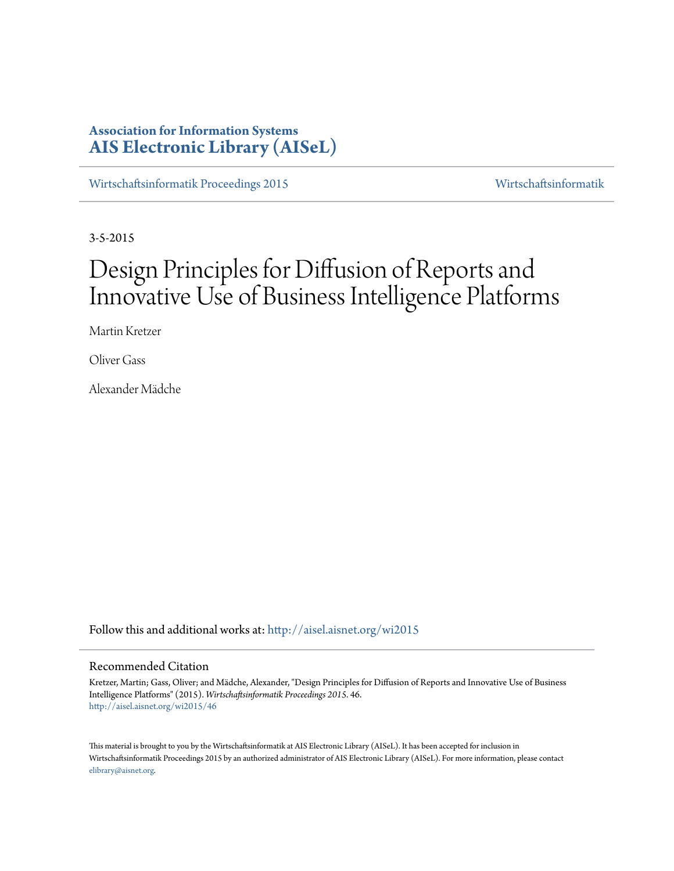# **Association for Information Systems [AIS Electronic Library \(AISeL\)](http://aisel.aisnet.org?utm_source=aisel.aisnet.org%2Fwi2015%2F46&utm_medium=PDF&utm_campaign=PDFCoverPages)**

[Wirtschaftsinformatik Proceedings 2015](http://aisel.aisnet.org/wi2015?utm_source=aisel.aisnet.org%2Fwi2015%2F46&utm_medium=PDF&utm_campaign=PDFCoverPages) [Wirtschaftsinformatik](http://aisel.aisnet.org/wi?utm_source=aisel.aisnet.org%2Fwi2015%2F46&utm_medium=PDF&utm_campaign=PDFCoverPages)

3-5-2015

# Design Principles for Diffusion of Reports and Innovative Use of Business Intelligence Platforms

Martin Kretzer

Oliver Gass

Alexander Mädche

Follow this and additional works at: [http://aisel.aisnet.org/wi2015](http://aisel.aisnet.org/wi2015?utm_source=aisel.aisnet.org%2Fwi2015%2F46&utm_medium=PDF&utm_campaign=PDFCoverPages)

# Recommended Citation

Kretzer, Martin; Gass, Oliver; and Mädche, Alexander, "Design Principles for Diffusion of Reports and Innovative Use of Business Intelligence Platforms" (2015). *Wirtschaftsinformatik Proceedings 2015*. 46. [http://aisel.aisnet.org/wi2015/46](http://aisel.aisnet.org/wi2015/46?utm_source=aisel.aisnet.org%2Fwi2015%2F46&utm_medium=PDF&utm_campaign=PDFCoverPages)

This material is brought to you by the Wirtschaftsinformatik at AIS Electronic Library (AISeL). It has been accepted for inclusion in Wirtschaftsinformatik Proceedings 2015 by an authorized administrator of AIS Electronic Library (AISeL). For more information, please contact [elibrary@aisnet.org.](mailto:elibrary@aisnet.org%3E)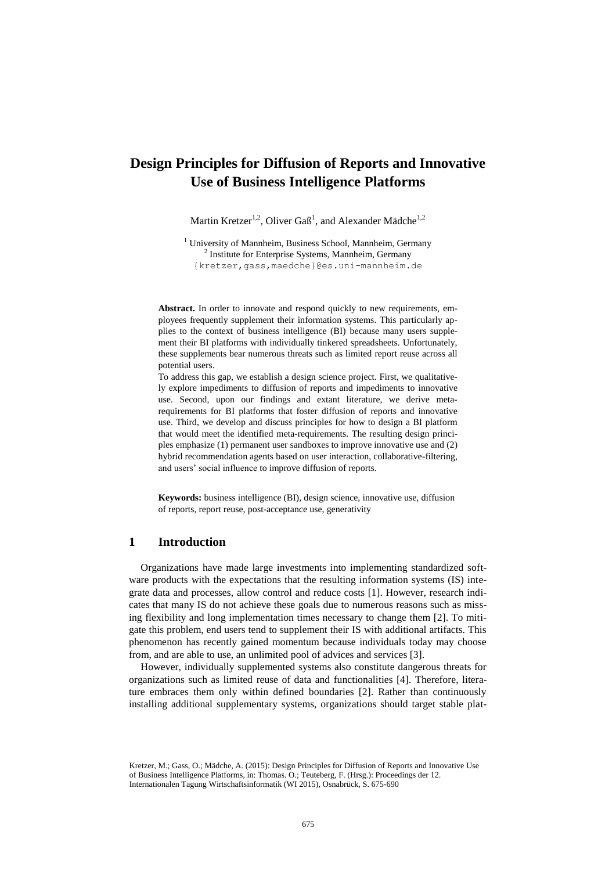# **Design Principles for Diffusion of Reports and Innovative Use of Business Intelligence Platforms**

Martin Kretzer<sup>1,2</sup>, Oliver Gaß<sup>1</sup>, and Alexander Mädche<sup>1,2</sup>

<sup>1</sup> University of Mannheim, Business School, Mannheim, Germany <sup>2</sup> Institute for Enterprise Systems, Mannheim, Germany

{kretzer,gass,maedche}@es.uni-mannheim.de

**Abstract.** In order to innovate and respond quickly to new requirements, employees frequently supplement their information systems. This particularly applies to the context of business intelligence (BI) because many users supplement their BI platforms with individually tinkered spreadsheets. Unfortunately, these supplements bear numerous threats such as limited report reuse across all potential users.

To address this gap, we establish a design science project. First, we qualitatively explore impediments to diffusion of reports and impediments to innovative use. Second, upon our findings and extant literature, we derive metarequirements for BI platforms that foster diffusion of reports and innovative use. Third, we develop and discuss principles for how to design a BI platform that would meet the identified meta-requirements. The resulting design principles emphasize (1) permanent user sandboxes to improve innovative use and (2) hybrid recommendation agents based on user interaction, collaborative-filtering, and users' social influence to improve diffusion of reports.

**Keywords:** business intelligence (BI), design science, innovative use, diffusion of reports, report reuse, post-acceptance use, generativity

# **1 Introduction**

Organizations have made large investments into implementing standardized software products with the expectations that the resulting information systems (IS) integrate data and processes, allow control and reduce costs [1]. However, research indicates that many IS do not achieve these goals due to numerous reasons such as missing flexibility and long implementation times necessary to change them [2]. To mitigate this problem, end users tend to supplement their IS with additional artifacts. This phenomenon has recently gained momentum because individuals today may choose from, and are able to use, an unlimited pool of advices and services [3].

However, individually supplemented systems also constitute dangerous threats for organizations such as limited reuse of data and functionalities [4]. Therefore, literature embraces them only within defined boundaries [2]. Rather than continuously installing additional supplementary systems, organizations should target stable plat-

Kretzer, M.; Gass, O.; Mädche, A. (2015): Design Principles for Diffusion of Reports and Innovative Use of Business Intelligence Platforms, in: Thomas. O.; Teuteberg, F. (Hrsg.): Proceedings der 12. Internationalen Tagung Wirtschaftsinformatik (WI 2015), Osnabrück, S. 675-690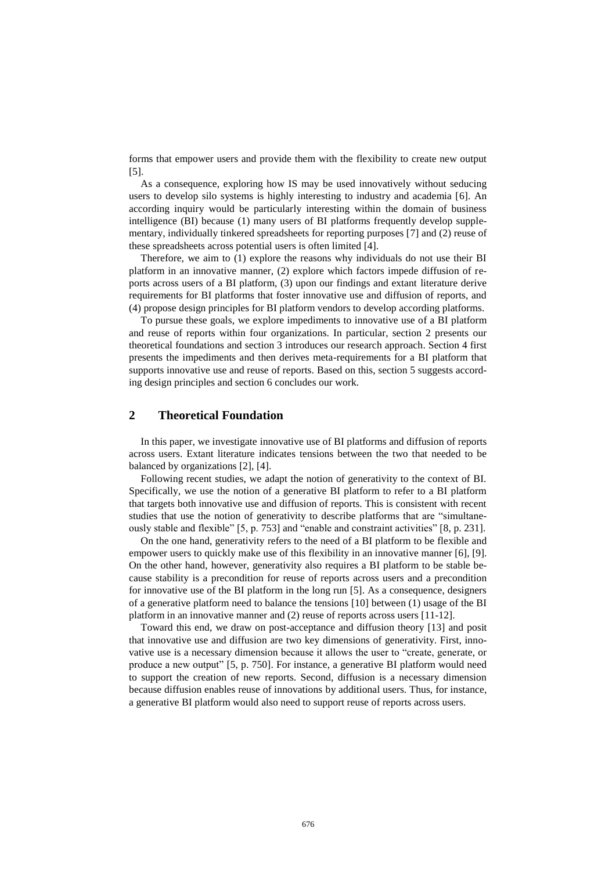forms that empower users and provide them with the flexibility to create new output [5].

As a consequence, exploring how IS may be used innovatively without seducing users to develop silo systems is highly interesting to industry and academia [6]. An according inquiry would be particularly interesting within the domain of business intelligence (BI) because (1) many users of BI platforms frequently develop supplementary, individually tinkered spreadsheets for reporting purposes [7] and (2) reuse of these spreadsheets across potential users is often limited [4].

Therefore, we aim to (1) explore the reasons why individuals do not use their BI platform in an innovative manner, (2) explore which factors impede diffusion of reports across users of a BI platform, (3) upon our findings and extant literature derive requirements for BI platforms that foster innovative use and diffusion of reports, and (4) propose design principles for BI platform vendors to develop according platforms.

To pursue these goals, we explore impediments to innovative use of a BI platform and reuse of reports within four organizations. In particular, section 2 presents our theoretical foundations and section 3 introduces our research approach. Section 4 first presents the impediments and then derives meta-requirements for a BI platform that supports innovative use and reuse of reports. Based on this, section 5 suggests according design principles and section 6 concludes our work.

# **2 Theoretical Foundation**

In this paper, we investigate innovative use of BI platforms and diffusion of reports across users. Extant literature indicates tensions between the two that needed to be balanced by organizations [2], [4].

Following recent studies, we adapt the notion of generativity to the context of BI. Specifically, we use the notion of a generative BI platform to refer to a BI platform that targets both innovative use and diffusion of reports. This is consistent with recent studies that use the notion of generativity to describe platforms that are "simultaneously stable and flexible" [5, p. 753] and "enable and constraint activities" [8, p. 231].

On the one hand, generativity refers to the need of a BI platform to be flexible and empower users to quickly make use of this flexibility in an innovative manner [6], [9]. On the other hand, however, generativity also requires a BI platform to be stable because stability is a precondition for reuse of reports across users and a precondition for innovative use of the BI platform in the long run [5]. As a consequence, designers of a generative platform need to balance the tensions [10] between (1) usage of the BI platform in an innovative manner and (2) reuse of reports across users [11-12].

Toward this end, we draw on post-acceptance and diffusion theory [13] and posit that innovative use and diffusion are two key dimensions of generativity. First, innovative use is a necessary dimension because it allows the user to "create, generate, or produce a new output" [5, p. 750]. For instance, a generative BI platform would need to support the creation of new reports. Second, diffusion is a necessary dimension because diffusion enables reuse of innovations by additional users. Thus, for instance, a generative BI platform would also need to support reuse of reports across users.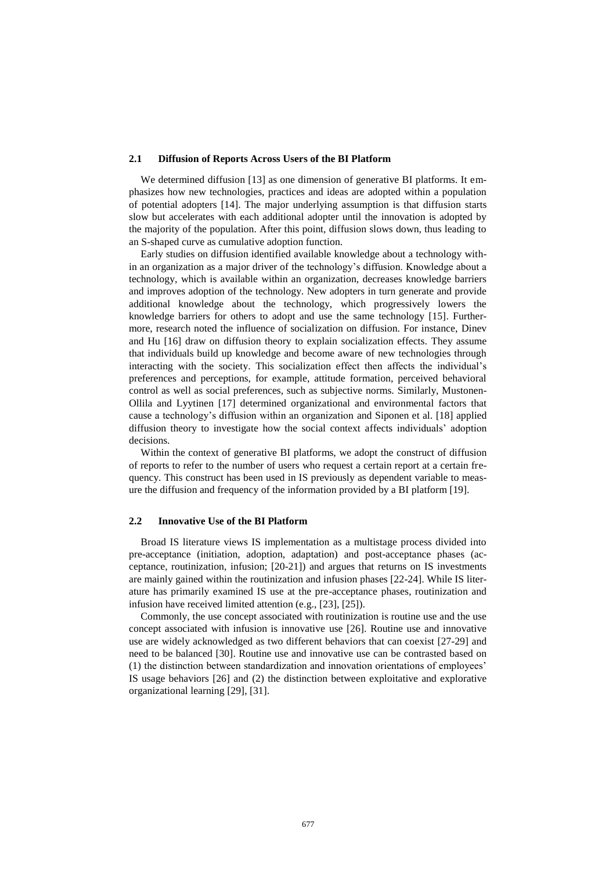#### **2.1 Diffusion of Reports Across Users of the BI Platform**

We determined diffusion [13] as one dimension of generative BI platforms. It emphasizes how new technologies, practices and ideas are adopted within a population of potential adopters [14]. The major underlying assumption is that diffusion starts slow but accelerates with each additional adopter until the innovation is adopted by the majority of the population. After this point, diffusion slows down, thus leading to an S-shaped curve as cumulative adoption function.

Early studies on diffusion identified available knowledge about a technology within an organization as a major driver of the technology's diffusion. Knowledge about a technology, which is available within an organization, decreases knowledge barriers and improves adoption of the technology. New adopters in turn generate and provide additional knowledge about the technology, which progressively lowers the knowledge barriers for others to adopt and use the same technology [15]. Furthermore, research noted the influence of socialization on diffusion. For instance, Dinev and Hu [16] draw on diffusion theory to explain socialization effects. They assume that individuals build up knowledge and become aware of new technologies through interacting with the society. This socialization effect then affects the individual's preferences and perceptions, for example, attitude formation, perceived behavioral control as well as social preferences, such as subjective norms. Similarly, Mustonen-Ollila and Lyytinen [17] determined organizational and environmental factors that cause a technology's diffusion within an organization and Siponen et al. [18] applied diffusion theory to investigate how the social context affects individuals' adoption decisions.

Within the context of generative BI platforms, we adopt the construct of diffusion of reports to refer to the number of users who request a certain report at a certain frequency. This construct has been used in IS previously as dependent variable to measure the diffusion and frequency of the information provided by a BI platform [19].

#### **2.2 Innovative Use of the BI Platform**

Broad IS literature views IS implementation as a multistage process divided into pre-acceptance (initiation, adoption, adaptation) and post-acceptance phases (acceptance, routinization, infusion; [20-21]) and argues that returns on IS investments are mainly gained within the routinization and infusion phases [22-24]. While IS literature has primarily examined IS use at the pre-acceptance phases, routinization and infusion have received limited attention (e.g., [23], [25]).

Commonly, the use concept associated with routinization is routine use and the use concept associated with infusion is innovative use [26]. Routine use and innovative use are widely acknowledged as two different behaviors that can coexist [27-29] and need to be balanced [30]. Routine use and innovative use can be contrasted based on (1) the distinction between standardization and innovation orientations of employees' IS usage behaviors [26] and (2) the distinction between exploitative and explorative organizational learning [29], [31].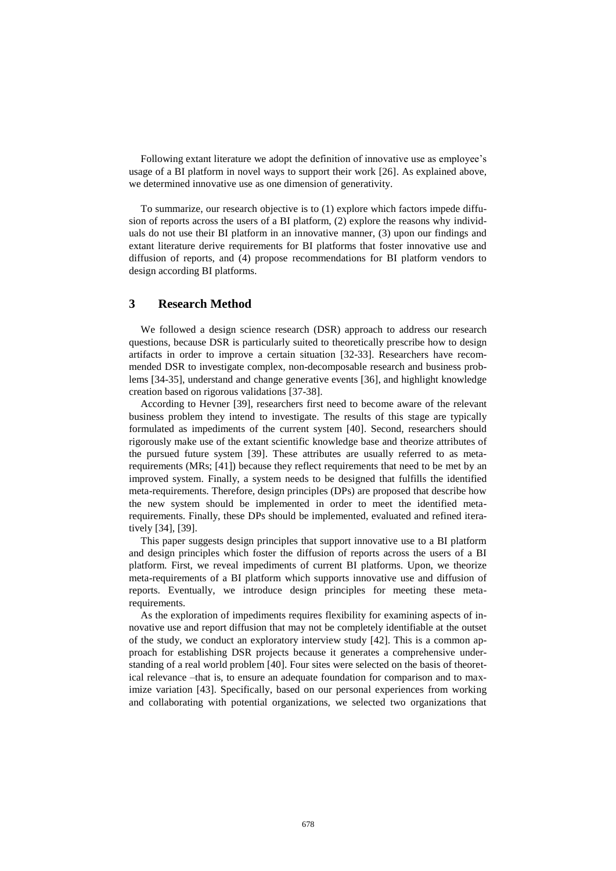Following extant literature we adopt the definition of innovative use as employee's usage of a BI platform in novel ways to support their work [26]. As explained above, we determined innovative use as one dimension of generativity.

To summarize, our research objective is to (1) explore which factors impede diffusion of reports across the users of a BI platform, (2) explore the reasons why individuals do not use their BI platform in an innovative manner, (3) upon our findings and extant literature derive requirements for BI platforms that foster innovative use and diffusion of reports, and (4) propose recommendations for BI platform vendors to design according BI platforms.

# **3 Research Method**

We followed a design science research (DSR) approach to address our research questions, because DSR is particularly suited to theoretically prescribe how to design artifacts in order to improve a certain situation [32-33]. Researchers have recommended DSR to investigate complex, non-decomposable research and business problems [34-35], understand and change generative events [36], and highlight knowledge creation based on rigorous validations [37-38].

According to Hevner [39], researchers first need to become aware of the relevant business problem they intend to investigate. The results of this stage are typically formulated as impediments of the current system [40]. Second, researchers should rigorously make use of the extant scientific knowledge base and theorize attributes of the pursued future system [39]. These attributes are usually referred to as metarequirements (MRs; [41]) because they reflect requirements that need to be met by an improved system. Finally, a system needs to be designed that fulfills the identified meta-requirements. Therefore, design principles (DPs) are proposed that describe how the new system should be implemented in order to meet the identified metarequirements. Finally, these DPs should be implemented, evaluated and refined iteratively [34], [39].

This paper suggests design principles that support innovative use to a BI platform and design principles which foster the diffusion of reports across the users of a BI platform. First, we reveal impediments of current BI platforms. Upon, we theorize meta-requirements of a BI platform which supports innovative use and diffusion of reports. Eventually, we introduce design principles for meeting these metarequirements.

As the exploration of impediments requires flexibility for examining aspects of innovative use and report diffusion that may not be completely identifiable at the outset of the study, we conduct an exploratory interview study [42]. This is a common approach for establishing DSR projects because it generates a comprehensive understanding of a real world problem [40]. Four sites were selected on the basis of theoretical relevance –that is, to ensure an adequate foundation for comparison and to maximize variation [43]. Specifically, based on our personal experiences from working and collaborating with potential organizations, we selected two organizations that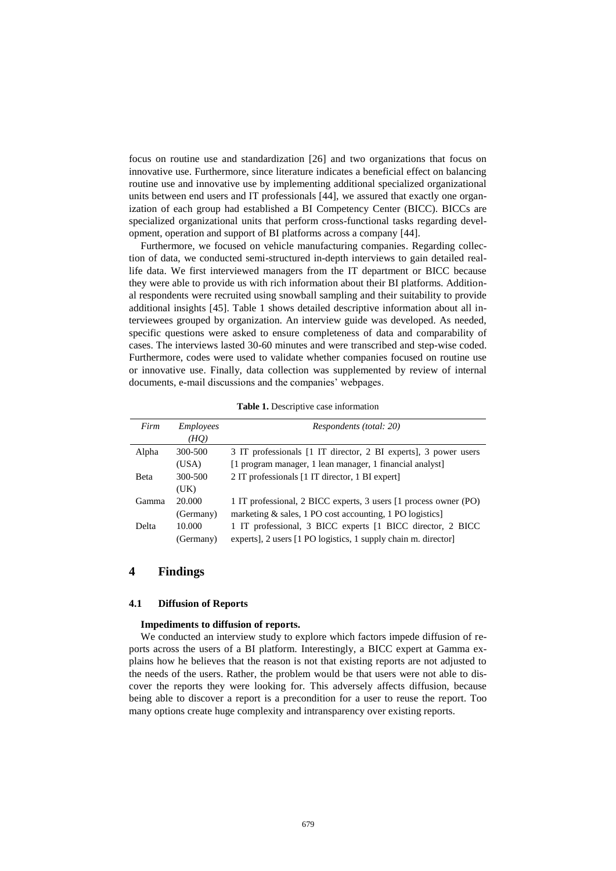focus on routine use and standardization [26] and two organizations that focus on innovative use. Furthermore, since literature indicates a beneficial effect on balancing routine use and innovative use by implementing additional specialized organizational units between end users and IT professionals [44], we assured that exactly one organization of each group had established a BI Competency Center (BICC). BICCs are specialized organizational units that perform cross-functional tasks regarding development, operation and support of BI platforms across a company [44].

Furthermore, we focused on vehicle manufacturing companies. Regarding collection of data, we conducted semi-structured in-depth interviews to gain detailed reallife data. We first interviewed managers from the IT department or BICC because they were able to provide us with rich information about their BI platforms. Additional respondents were recruited using snowball sampling and their suitability to provide additional insights [45]. Table 1 shows detailed descriptive information about all interviewees grouped by organization. An interview guide was developed. As needed, specific questions were asked to ensure completeness of data and comparability of cases. The interviews lasted 30-60 minutes and were transcribed and step-wise coded. Furthermore, codes were used to validate whether companies focused on routine use or innovative use. Finally, data collection was supplemented by review of internal documents, e-mail discussions and the companies' webpages.

| Table 1. Descriptive case information |  |
|---------------------------------------|--|
|---------------------------------------|--|

| Firm  | <i>Employees</i> | Respondents (total: 20)                                          |
|-------|------------------|------------------------------------------------------------------|
|       | (HO)             |                                                                  |
| Alpha | 300-500          | 3 IT professionals [1 IT director, 2 BI experts], 3 power users  |
|       | (USA)            | [1 program manager, 1 lean manager, 1 financial analyst]         |
| Beta  | 300-500          | 2 IT professionals [1 IT director, 1 BI expert]                  |
|       | (UK)             |                                                                  |
| Gamma | 20,000           | 1 IT professional, 2 BICC experts, 3 users [1 process owner (PO) |
|       | (Germany)        | marketing $\&$ sales, 1 PO cost accounting, 1 PO logistics]      |
| Delta | 10.000           | 1 IT professional, 3 BICC experts [1 BICC director, 2 BICC       |
|       | (Germany)        | experts], 2 users [1 PO logistics, 1 supply chain m. director]   |

# **4 Findings**

#### **4.1 Diffusion of Reports**

#### **Impediments to diffusion of reports.**

We conducted an interview study to explore which factors impede diffusion of reports across the users of a BI platform. Interestingly, a BICC expert at Gamma explains how he believes that the reason is not that existing reports are not adjusted to the needs of the users. Rather, the problem would be that users were not able to discover the reports they were looking for. This adversely affects diffusion, because being able to discover a report is a precondition for a user to reuse the report. Too many options create huge complexity and intransparency over existing reports.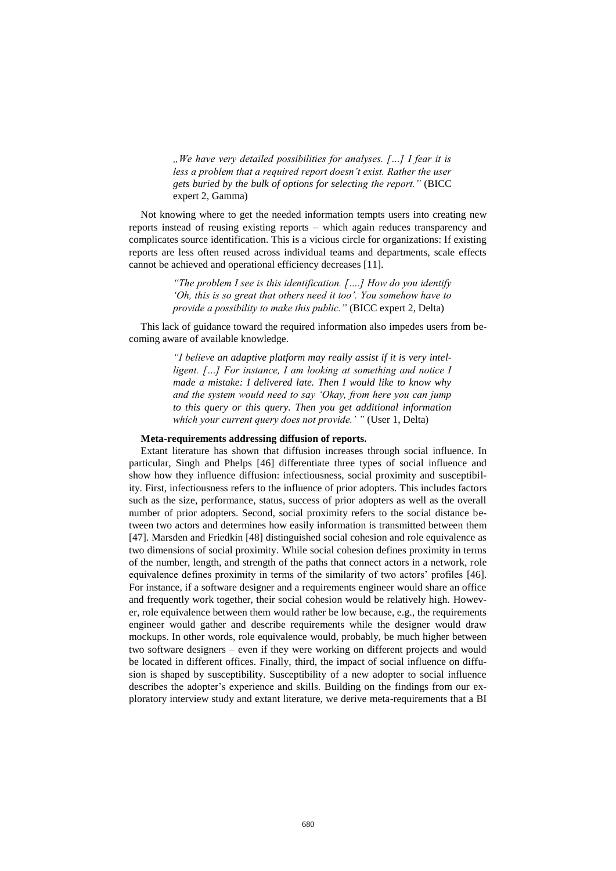*"We have very detailed possibilities for analyses. […] I fear it is less a problem that a required report doesn't exist. Rather the user gets buried by the bulk of options for selecting the report."* (BICC expert 2, Gamma)

Not knowing where to get the needed information tempts users into creating new reports instead of reusing existing reports – which again reduces transparency and complicates source identification. This is a vicious circle for organizations: If existing reports are less often reused across individual teams and departments, scale effects cannot be achieved and operational efficiency decreases [11].

> *"The problem I see is this identification. [….] How do you identify 'Oh, this is so great that others need it too'. You somehow have to provide a possibility to make this public."* (BICC expert 2, Delta)

This lack of guidance toward the required information also impedes users from becoming aware of available knowledge.

> *"I believe an adaptive platform may really assist if it is very intelligent. […] For instance, I am looking at something and notice I made a mistake: I delivered late. Then I would like to know why and the system would need to say 'Okay, from here you can jump to this query or this query. Then you get additional information which your current query does not provide.' "* (User 1, Delta)

# **Meta-requirements addressing diffusion of reports.**

Extant literature has shown that diffusion increases through social influence. In particular, Singh and Phelps [46] differentiate three types of social influence and show how they influence diffusion: infectiousness, social proximity and susceptibility. First, infectiousness refers to the influence of prior adopters. This includes factors such as the size, performance, status, success of prior adopters as well as the overall number of prior adopters. Second, social proximity refers to the social distance between two actors and determines how easily information is transmitted between them [47]. Marsden and Friedkin [48] distinguished social cohesion and role equivalence as two dimensions of social proximity. While social cohesion defines proximity in terms of the number, length, and strength of the paths that connect actors in a network, role equivalence defines proximity in terms of the similarity of two actors' profiles [46]. For instance, if a software designer and a requirements engineer would share an office and frequently work together, their social cohesion would be relatively high. However, role equivalence between them would rather be low because, e.g., the requirements engineer would gather and describe requirements while the designer would draw mockups. In other words, role equivalence would, probably, be much higher between two software designers – even if they were working on different projects and would be located in different offices. Finally, third, the impact of social influence on diffusion is shaped by susceptibility. Susceptibility of a new adopter to social influence describes the adopter's experience and skills. Building on the findings from our exploratory interview study and extant literature, we derive meta-requirements that a BI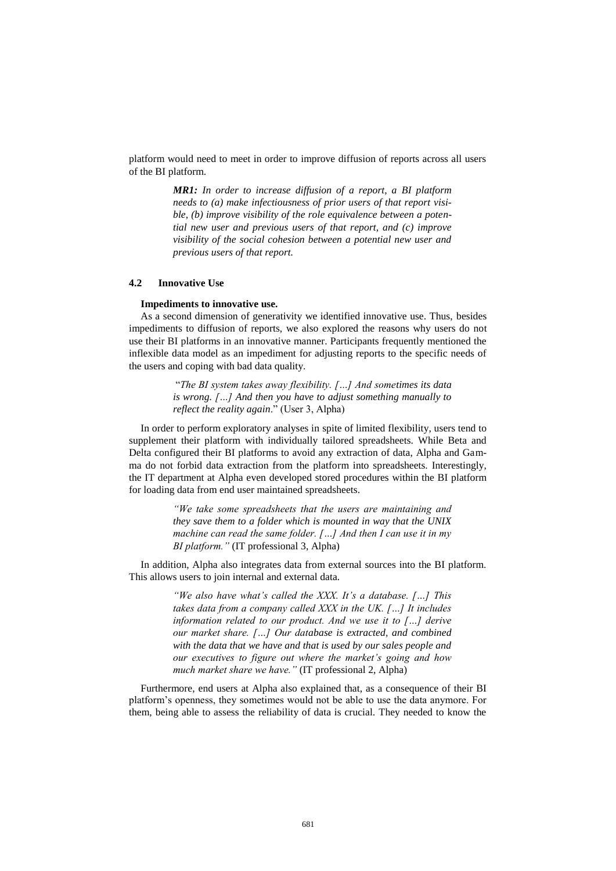platform would need to meet in order to improve diffusion of reports across all users of the BI platform.

> *MR1: In order to increase diffusion of a report, a BI platform needs to (a) make infectiousness of prior users of that report visible, (b) improve visibility of the role equivalence between a potential new user and previous users of that report, and (c) improve visibility of the social cohesion between a potential new user and previous users of that report.*

#### **4.2 Innovative Use**

#### **Impediments to innovative use.**

As a second dimension of generativity we identified innovative use. Thus, besides impediments to diffusion of reports, we also explored the reasons why users do not use their BI platforms in an innovative manner. Participants frequently mentioned the inflexible data model as an impediment for adjusting reports to the specific needs of the users and coping with bad data quality.

> "*The BI system takes away flexibility. […] And sometimes its data is wrong. […] And then you have to adjust something manually to reflect the reality again*." (User 3, Alpha)

In order to perform exploratory analyses in spite of limited flexibility, users tend to supplement their platform with individually tailored spreadsheets. While Beta and Delta configured their BI platforms to avoid any extraction of data, Alpha and Gamma do not forbid data extraction from the platform into spreadsheets. Interestingly, the IT department at Alpha even developed stored procedures within the BI platform for loading data from end user maintained spreadsheets.

> *"We take some spreadsheets that the users are maintaining and they save them to a folder which is mounted in way that the UNIX machine can read the same folder. […] And then I can use it in my BI platform."* (IT professional 3, Alpha)

In addition, Alpha also integrates data from external sources into the BI platform. This allows users to join internal and external data.

> *"We also have what's called the XXX. It's a database. […] This takes data from a company called XXX in the UK. […] It includes information related to our product. And we use it to […] derive our market share. […] Our database is extracted, and combined with the data that we have and that is used by our sales people and our executives to figure out where the market's going and how much market share we have."* (IT professional 2, Alpha)

Furthermore, end users at Alpha also explained that, as a consequence of their BI platform's openness, they sometimes would not be able to use the data anymore. For them, being able to assess the reliability of data is crucial. They needed to know the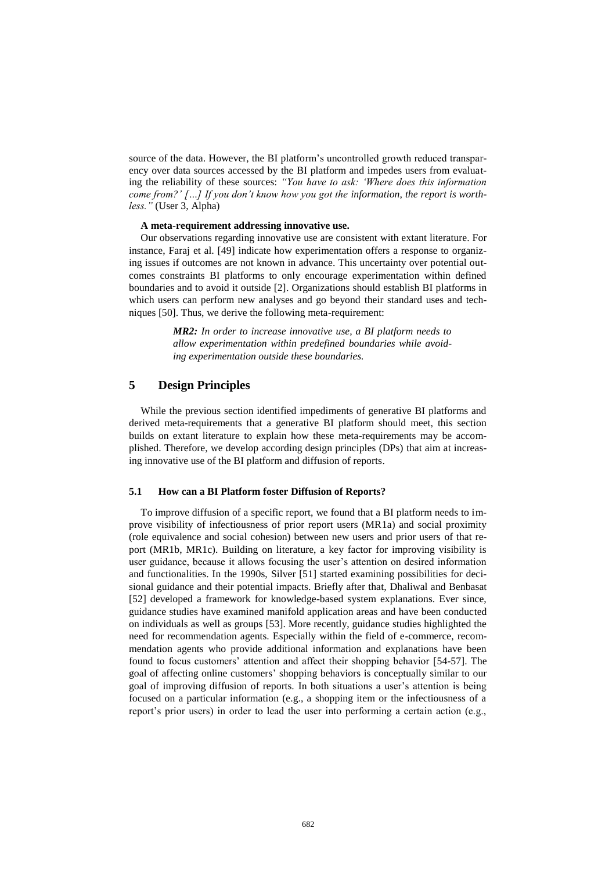source of the data. However, the BI platform's uncontrolled growth reduced transparency over data sources accessed by the BI platform and impedes users from evaluating the reliability of these sources: *"You have to ask: 'Where does this information come from?' […] If you don't know how you got the information, the report is worthless."* (User 3, Alpha)

#### **A meta-requirement addressing innovative use.**

Our observations regarding innovative use are consistent with extant literature. For instance, Faraj et al. [49] indicate how experimentation offers a response to organizing issues if outcomes are not known in advance. This uncertainty over potential outcomes constraints BI platforms to only encourage experimentation within defined boundaries and to avoid it outside [2]. Organizations should establish BI platforms in which users can perform new analyses and go beyond their standard uses and techniques [50]. Thus, we derive the following meta-requirement:

> *MR2: In order to increase innovative use, a BI platform needs to allow experimentation within predefined boundaries while avoiding experimentation outside these boundaries.*

# **5 Design Principles**

While the previous section identified impediments of generative BI platforms and derived meta-requirements that a generative BI platform should meet, this section builds on extant literature to explain how these meta-requirements may be accomplished. Therefore, we develop according design principles (DPs) that aim at increasing innovative use of the BI platform and diffusion of reports.

# **5.1 How can a BI Platform foster Diffusion of Reports?**

To improve diffusion of a specific report, we found that a BI platform needs to improve visibility of infectiousness of prior report users (MR1a) and social proximity (role equivalence and social cohesion) between new users and prior users of that report (MR1b, MR1c). Building on literature, a key factor for improving visibility is user guidance, because it allows focusing the user's attention on desired information and functionalities. In the 1990s, Silver [51] started examining possibilities for decisional guidance and their potential impacts. Briefly after that, Dhaliwal and Benbasat [52] developed a framework for knowledge-based system explanations. Ever since, guidance studies have examined manifold application areas and have been conducted on individuals as well as groups [53]. More recently, guidance studies highlighted the need for recommendation agents. Especially within the field of e-commerce, recommendation agents who provide additional information and explanations have been found to focus customers' attention and affect their shopping behavior [54-57]. The goal of affecting online customers' shopping behaviors is conceptually similar to our goal of improving diffusion of reports. In both situations a user's attention is being focused on a particular information (e.g., a shopping item or the infectiousness of a report's prior users) in order to lead the user into performing a certain action (e.g.,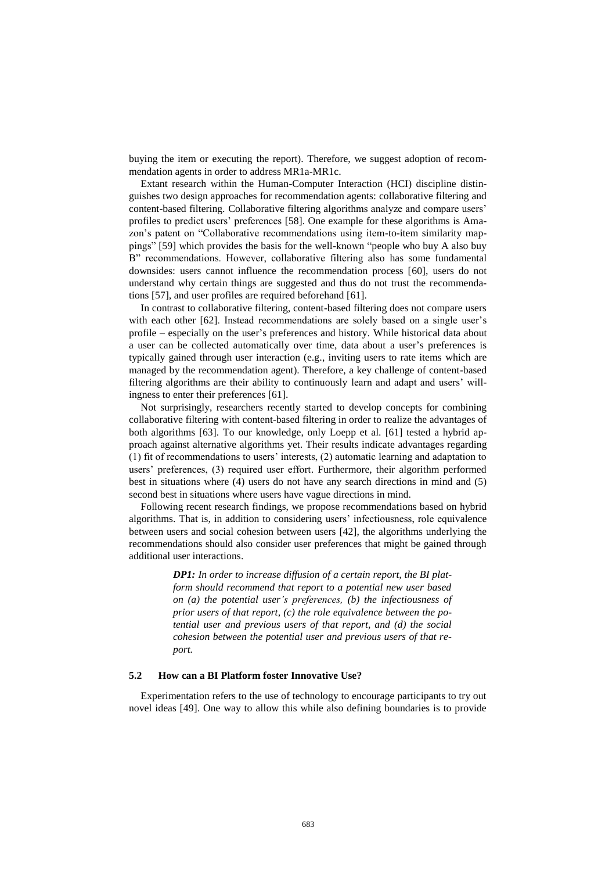buying the item or executing the report). Therefore, we suggest adoption of recommendation agents in order to address MR1a-MR1c.

Extant research within the Human-Computer Interaction (HCI) discipline distinguishes two design approaches for recommendation agents: collaborative filtering and content-based filtering. Collaborative filtering algorithms analyze and compare users' profiles to predict users' preferences [58]. One example for these algorithms is Amazon's patent on "Collaborative recommendations using item-to-item similarity mappings" [59] which provides the basis for the well-known "people who buy A also buy B" recommendations. However, collaborative filtering also has some fundamental downsides: users cannot influence the recommendation process [60], users do not understand why certain things are suggested and thus do not trust the recommendations [57], and user profiles are required beforehand [61].

In contrast to collaborative filtering, content-based filtering does not compare users with each other [62]. Instead recommendations are solely based on a single user's profile – especially on the user's preferences and history. While historical data about a user can be collected automatically over time, data about a user's preferences is typically gained through user interaction (e.g., inviting users to rate items which are managed by the recommendation agent). Therefore, a key challenge of content-based filtering algorithms are their ability to continuously learn and adapt and users' willingness to enter their preferences [61].

Not surprisingly, researchers recently started to develop concepts for combining collaborative filtering with content-based filtering in order to realize the advantages of both algorithms [63]. To our knowledge, only Loepp et al. [61] tested a hybrid approach against alternative algorithms yet. Their results indicate advantages regarding (1) fit of recommendations to users' interests, (2) automatic learning and adaptation to users' preferences, (3) required user effort. Furthermore, their algorithm performed best in situations where (4) users do not have any search directions in mind and (5) second best in situations where users have vague directions in mind.

Following recent research findings, we propose recommendations based on hybrid algorithms. That is, in addition to considering users' infectiousness, role equivalence between users and social cohesion between users [42], the algorithms underlying the recommendations should also consider user preferences that might be gained through additional user interactions.

> *DP1: In order to increase diffusion of a certain report, the BI platform should recommend that report to a potential new user based on (a) the potential user's preferences, (b) the infectiousness of prior users of that report, (c) the role equivalence between the potential user and previous users of that report, and (d) the social cohesion between the potential user and previous users of that report.*

# **5.2 How can a BI Platform foster Innovative Use?**

Experimentation refers to the use of technology to encourage participants to try out novel ideas [49]. One way to allow this while also defining boundaries is to provide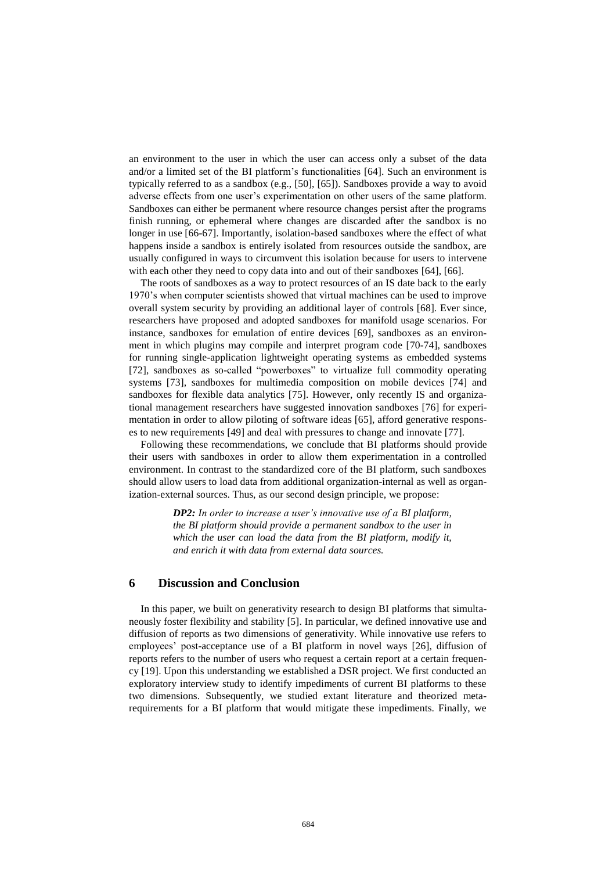an environment to the user in which the user can access only a subset of the data and/or a limited set of the BI platform's functionalities [64]. Such an environment is typically referred to as a sandbox (e.g., [50], [65]). Sandboxes provide a way to avoid adverse effects from one user's experimentation on other users of the same platform. Sandboxes can either be permanent where resource changes persist after the programs finish running, or ephemeral where changes are discarded after the sandbox is no longer in use [66-67]. Importantly, isolation-based sandboxes where the effect of what happens inside a sandbox is entirely isolated from resources outside the sandbox, are usually configured in ways to circumvent this isolation because for users to intervene with each other they need to copy data into and out of their sandboxes [64], [66].

The roots of sandboxes as a way to protect resources of an IS date back to the early 1970's when computer scientists showed that virtual machines can be used to improve overall system security by providing an additional layer of controls [68]. Ever since, researchers have proposed and adopted sandboxes for manifold usage scenarios. For instance, sandboxes for emulation of entire devices [69], sandboxes as an environment in which plugins may compile and interpret program code [70-74], sandboxes for running single-application lightweight operating systems as embedded systems [72], sandboxes as so-called "powerboxes" to virtualize full commodity operating systems [73], sandboxes for multimedia composition on mobile devices [74] and sandboxes for flexible data analytics [75]. However, only recently IS and organizational management researchers have suggested innovation sandboxes [76] for experimentation in order to allow piloting of software ideas [65], afford generative responses to new requirements [49] and deal with pressures to change and innovate [77].

Following these recommendations, we conclude that BI platforms should provide their users with sandboxes in order to allow them experimentation in a controlled environment. In contrast to the standardized core of the BI platform, such sandboxes should allow users to load data from additional organization-internal as well as organization-external sources. Thus, as our second design principle, we propose:

> *DP2: In order to increase a user's innovative use of a BI platform, the BI platform should provide a permanent sandbox to the user in which the user can load the data from the BI platform, modify it, and enrich it with data from external data sources.*

# **6 Discussion and Conclusion**

In this paper, we built on generativity research to design BI platforms that simultaneously foster flexibility and stability [5]. In particular, we defined innovative use and diffusion of reports as two dimensions of generativity. While innovative use refers to employees' post-acceptance use of a BI platform in novel ways [26], diffusion of reports refers to the number of users who request a certain report at a certain frequency [19]. Upon this understanding we established a DSR project. We first conducted an exploratory interview study to identify impediments of current BI platforms to these two dimensions. Subsequently, we studied extant literature and theorized metarequirements for a BI platform that would mitigate these impediments. Finally, we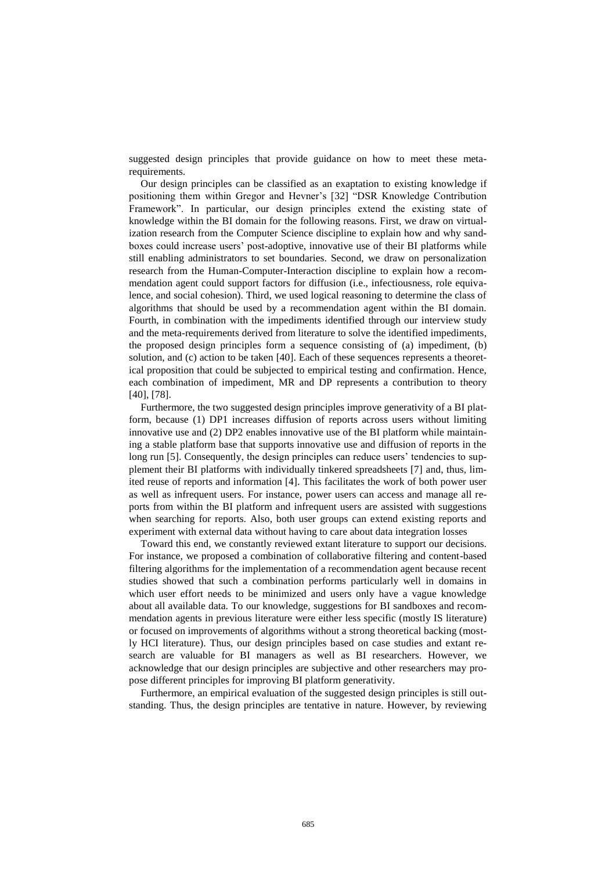suggested design principles that provide guidance on how to meet these metarequirements.

Our design principles can be classified as an exaptation to existing knowledge if positioning them within Gregor and Hevner's [32] "DSR Knowledge Contribution Framework". In particular, our design principles extend the existing state of knowledge within the BI domain for the following reasons. First, we draw on virtualization research from the Computer Science discipline to explain how and why sandboxes could increase users' post-adoptive, innovative use of their BI platforms while still enabling administrators to set boundaries. Second, we draw on personalization research from the Human-Computer-Interaction discipline to explain how a recommendation agent could support factors for diffusion (i.e., infectiousness, role equivalence, and social cohesion). Third, we used logical reasoning to determine the class of algorithms that should be used by a recommendation agent within the BI domain. Fourth, in combination with the impediments identified through our interview study and the meta-requirements derived from literature to solve the identified impediments, the proposed design principles form a sequence consisting of (a) impediment, (b) solution, and (c) action to be taken [40]. Each of these sequences represents a theoretical proposition that could be subjected to empirical testing and confirmation. Hence, each combination of impediment, MR and DP represents a contribution to theory [40], [78].

Furthermore, the two suggested design principles improve generativity of a BI platform, because (1) DP1 increases diffusion of reports across users without limiting innovative use and (2) DP2 enables innovative use of the BI platform while maintaining a stable platform base that supports innovative use and diffusion of reports in the long run [5]. Consequently, the design principles can reduce users' tendencies to supplement their BI platforms with individually tinkered spreadsheets [7] and, thus, limited reuse of reports and information [4]. This facilitates the work of both power user as well as infrequent users. For instance, power users can access and manage all reports from within the BI platform and infrequent users are assisted with suggestions when searching for reports. Also, both user groups can extend existing reports and experiment with external data without having to care about data integration losses

Toward this end, we constantly reviewed extant literature to support our decisions. For instance, we proposed a combination of collaborative filtering and content-based filtering algorithms for the implementation of a recommendation agent because recent studies showed that such a combination performs particularly well in domains in which user effort needs to be minimized and users only have a vague knowledge about all available data. To our knowledge, suggestions for BI sandboxes and recommendation agents in previous literature were either less specific (mostly IS literature) or focused on improvements of algorithms without a strong theoretical backing (mostly HCI literature). Thus, our design principles based on case studies and extant research are valuable for BI managers as well as BI researchers. However, we acknowledge that our design principles are subjective and other researchers may propose different principles for improving BI platform generativity.

Furthermore, an empirical evaluation of the suggested design principles is still outstanding. Thus, the design principles are tentative in nature. However, by reviewing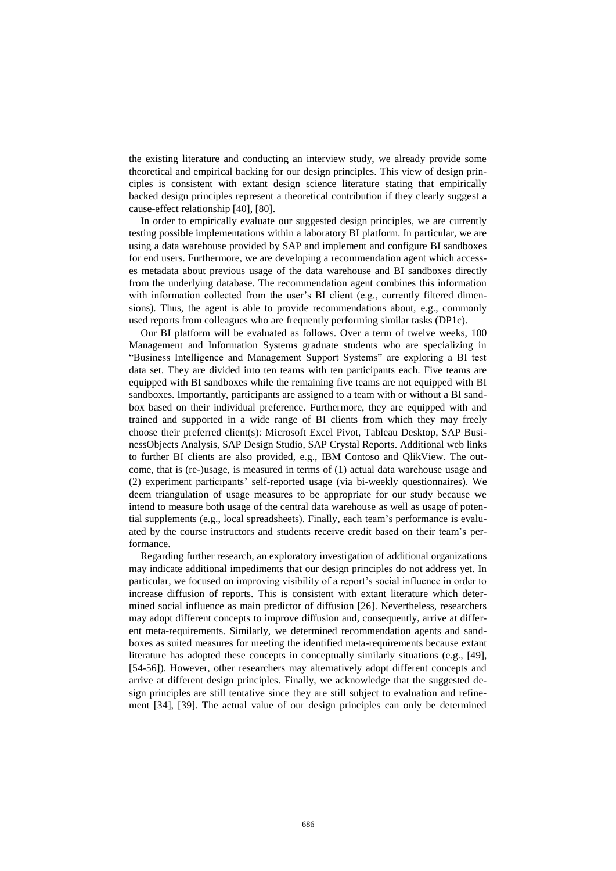the existing literature and conducting an interview study, we already provide some theoretical and empirical backing for our design principles. This view of design principles is consistent with extant design science literature stating that empirically backed design principles represent a theoretical contribution if they clearly suggest a cause-effect relationship [40], [80].

In order to empirically evaluate our suggested design principles, we are currently testing possible implementations within a laboratory BI platform. In particular, we are using a data warehouse provided by SAP and implement and configure BI sandboxes for end users. Furthermore, we are developing a recommendation agent which accesses metadata about previous usage of the data warehouse and BI sandboxes directly from the underlying database. The recommendation agent combines this information with information collected from the user's BI client (e.g., currently filtered dimensions). Thus, the agent is able to provide recommendations about, e.g., commonly used reports from colleagues who are frequently performing similar tasks (DP1c).

Our BI platform will be evaluated as follows. Over a term of twelve weeks, 100 Management and Information Systems graduate students who are specializing in "Business Intelligence and Management Support Systems" are exploring a BI test data set. They are divided into ten teams with ten participants each. Five teams are equipped with BI sandboxes while the remaining five teams are not equipped with BI sandboxes. Importantly, participants are assigned to a team with or without a BI sandbox based on their individual preference. Furthermore, they are equipped with and trained and supported in a wide range of BI clients from which they may freely choose their preferred client(s): Microsoft Excel Pivot, Tableau Desktop, SAP BusinessObjects Analysis, SAP Design Studio, SAP Crystal Reports. Additional web links to further BI clients are also provided, e.g., IBM Contoso and QlikView. The outcome, that is (re-)usage, is measured in terms of (1) actual data warehouse usage and (2) experiment participants' self-reported usage (via bi-weekly questionnaires). We deem triangulation of usage measures to be appropriate for our study because we intend to measure both usage of the central data warehouse as well as usage of potential supplements (e.g., local spreadsheets). Finally, each team's performance is evaluated by the course instructors and students receive credit based on their team's performance.

Regarding further research, an exploratory investigation of additional organizations may indicate additional impediments that our design principles do not address yet. In particular, we focused on improving visibility of a report's social influence in order to increase diffusion of reports. This is consistent with extant literature which determined social influence as main predictor of diffusion [26]. Nevertheless, researchers may adopt different concepts to improve diffusion and, consequently, arrive at different meta-requirements. Similarly, we determined recommendation agents and sandboxes as suited measures for meeting the identified meta-requirements because extant literature has adopted these concepts in conceptually similarly situations (e.g., [49], [54-56]). However, other researchers may alternatively adopt different concepts and arrive at different design principles. Finally, we acknowledge that the suggested design principles are still tentative since they are still subject to evaluation and refinement [34], [39]. The actual value of our design principles can only be determined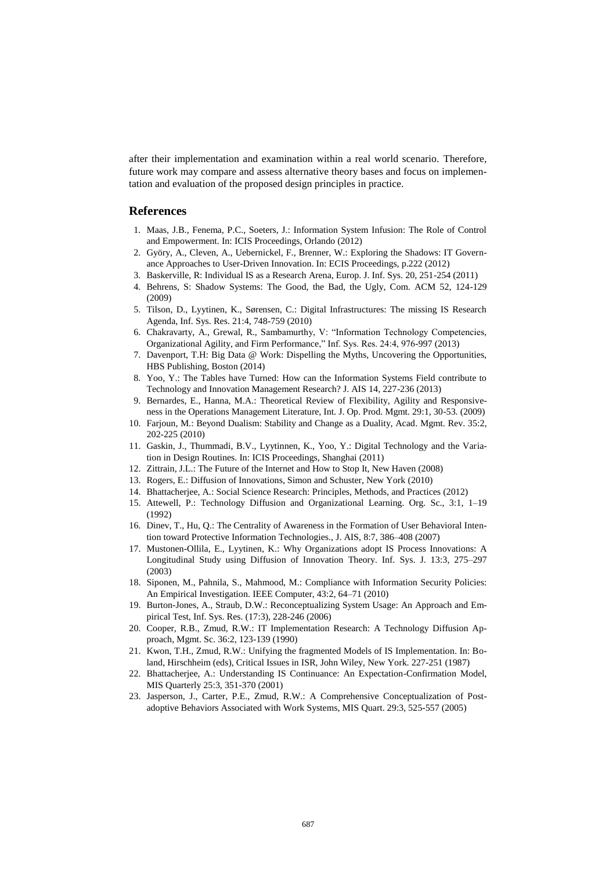after their implementation and examination within a real world scenario. Therefore, future work may compare and assess alternative theory bases and focus on implementation and evaluation of the proposed design principles in practice.

## **References**

- 1. Maas, J.B., Fenema, P.C., Soeters, J.: Information System Infusion: The Role of Control and Empowerment. In: ICIS Proceedings, Orlando (2012)
- 2. Györy, A., Cleven, A., Uebernickel, F., Brenner, W.: Exploring the Shadows: IT Governance Approaches to User-Driven Innovation. In: ECIS Proceedings, p.222 (2012)
- 3. Baskerville, R: Individual IS as a Research Arena, Europ. J. Inf. Sys. 20, 251-254 (2011)
- 4. Behrens, S: Shadow Systems: The Good, the Bad, the Ugly, Com. ACM 52, 124-129 (2009)
- 5. Tilson, D., Lyytinen, K., Sørensen, C.: Digital Infrastructures: The missing IS Research Agenda, Inf. Sys. Res. 21:4, 748-759 (2010)
- 6. Chakravarty, A., Grewal, R., Sambamurthy, V: "Information Technology Competencies, Organizational Agility, and Firm Performance," Inf. Sys. Res. 24:4, 976-997 (2013)
- 7. Davenport, T.H: Big Data @ Work: Dispelling the Myths, Uncovering the Opportunities, HBS Publishing, Boston (2014)
- 8. Yoo, Y.: The Tables have Turned: How can the Information Systems Field contribute to Technology and Innovation Management Research? J. AIS 14, 227-236 (2013)
- 9. Bernardes, E., Hanna, M.A.: Theoretical Review of Flexibility, Agility and Responsiveness in the Operations Management Literature, Int. J. Op. Prod. Mgmt. 29:1, 30-53. (2009)
- 10. Farjoun, M.: Beyond Dualism: Stability and Change as a Duality, Acad. Mgmt. Rev. 35:2, 202-225 (2010)
- 11. Gaskin, J., Thummadi, B.V., Lyytinnen, K., Yoo, Y.: Digital Technology and the Variation in Design Routines. In: ICIS Proceedings, Shanghai (2011)
- 12. Zittrain, J.L.: The Future of the Internet and How to Stop It, New Haven (2008)
- 13. Rogers, E.: Diffusion of Innovations, Simon and Schuster, New York (2010)
- 14. Bhattacherjee, A.: Social Science Research: Principles, Methods, and Practices (2012)
- 15. Attewell, P.: Technology Diffusion and Organizational Learning. Org. Sc., 3:1, 1–19 (1992)
- 16. Dinev, T., Hu, Q.: The Centrality of Awareness in the Formation of User Behavioral Intention toward Protective Information Technologies., J. AIS, 8:7, 386–408 (2007)
- 17. Mustonen-Ollila, E., Lyytinen, K.: Why Organizations adopt IS Process Innovations: A Longitudinal Study using Diffusion of Innovation Theory. Inf. Sys. J. 13:3, 275–297 (2003)
- 18. Siponen, M., Pahnila, S., Mahmood, M.: Compliance with Information Security Policies: An Empirical Investigation. IEEE Computer, 43:2, 64–71 (2010)
- 19. Burton-Jones, A., Straub, D.W.: Reconceptualizing System Usage: An Approach and Empirical Test, Inf. Sys. Res. (17:3), 228-246 (2006)
- 20. Cooper, R.B., Zmud, R.W.: IT Implementation Research: A Technology Diffusion Approach, Mgmt. Sc. 36:2, 123-139 (1990)
- 21. Kwon, T.H., Zmud, R.W.: Unifying the fragmented Models of IS Implementation. In: Boland, Hirschheim (eds), Critical Issues in ISR, John Wiley, New York. 227-251 (1987)
- 22. Bhattacherjee, A.: Understanding IS Continuance: An Expectation-Confirmation Model, MIS Quarterly 25:3, 351-370 (2001)
- 23. Jasperson, J., Carter, P.E., Zmud, R.W.: A Comprehensive Conceptualization of Postadoptive Behaviors Associated with Work Systems, MIS Quart. 29:3, 525-557 (2005)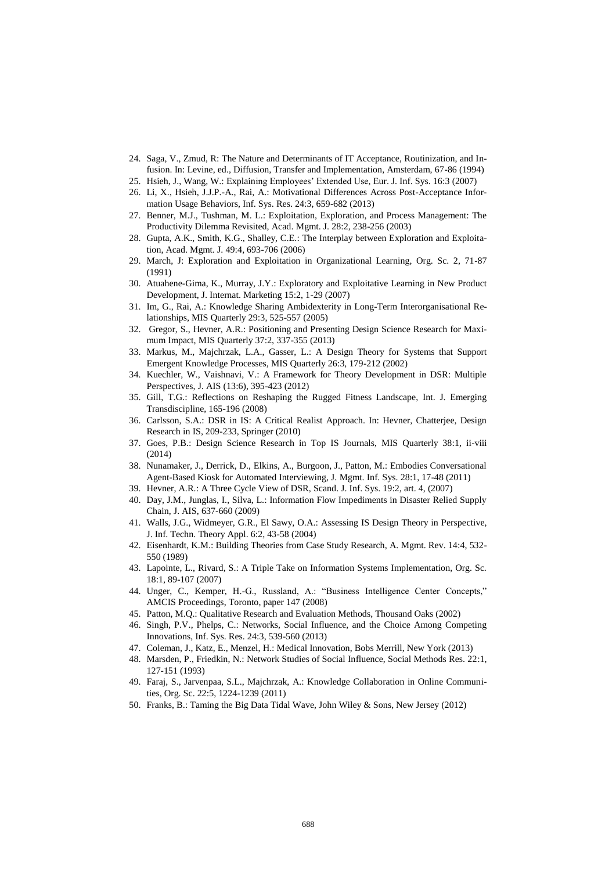- 24. Saga, V., Zmud, R: The Nature and Determinants of IT Acceptance, Routinization, and Infusion. In: Levine, ed., Diffusion, Transfer and Implementation, Amsterdam, 67-86 (1994)
- 25. Hsieh, J., Wang, W.: Explaining Employees' Extended Use, Eur. J. Inf. Sys. 16:3 (2007)
- 26. Li, X., Hsieh, J.J.P.-A., Rai, A.: Motivational Differences Across Post-Acceptance Information Usage Behaviors, Inf. Sys. Res. 24:3, 659-682 (2013)
- 27. Benner, M.J., Tushman, M. L.: Exploitation, Exploration, and Process Management: The Productivity Dilemma Revisited, Acad. Mgmt. J. 28:2, 238-256 (2003)
- 28. Gupta, A.K., Smith, K.G., Shalley, C.E.: The Interplay between Exploration and Exploitation, Acad. Mgmt. J. 49:4, 693-706 (2006)
- 29. March, J: Exploration and Exploitation in Organizational Learning, Org. Sc. 2, 71-87 (1991)
- 30. Atuahene-Gima, K., Murray, J.Y.: Exploratory and Exploitative Learning in New Product Development, J. Internat. Marketing 15:2, 1-29 (2007)
- 31. Im, G., Rai, A.: Knowledge Sharing Ambidexterity in Long-Term Interorganisational Relationships, MIS Quarterly 29:3, 525-557 (2005)
- 32. Gregor, S., Hevner, A.R.: Positioning and Presenting Design Science Research for Maximum Impact, MIS Quarterly 37:2, 337-355 (2013)
- 33. Markus, M., Majchrzak, L.A., Gasser, L.: A Design Theory for Systems that Support Emergent Knowledge Processes, MIS Quarterly 26:3, 179-212 (2002)
- 34. Kuechler, W., Vaishnavi, V.: A Framework for Theory Development in DSR: Multiple Perspectives, J. AIS (13:6), 395-423 (2012)
- 35. Gill, T.G.: Reflections on Reshaping the Rugged Fitness Landscape, Int. J. Emerging Transdiscipline, 165-196 (2008)
- 36. Carlsson, S.A.: DSR in IS: A Critical Realist Approach. In: Hevner, Chatterjee, Design Research in IS, 209-233, Springer (2010)
- 37. Goes, P.B.: Design Science Research in Top IS Journals, MIS Quarterly 38:1, ii-viii (2014)
- 38. Nunamaker, J., Derrick, D., Elkins, A., Burgoon, J., Patton, M.: Embodies Conversational Agent-Based Kiosk for Automated Interviewing, J. Mgmt. Inf. Sys. 28:1, 17-48 (2011)
- 39. Hevner, A.R.: A Three Cycle View of DSR, Scand. J. Inf. Sys. 19:2, art. 4, (2007)
- 40. Day, J.M., Junglas, I., Silva, L.: Information Flow Impediments in Disaster Relied Supply Chain, J. AIS, 637-660 (2009)
- 41. Walls, J.G., Widmeyer, G.R., El Sawy, O.A.: Assessing IS Design Theory in Perspective, J. Inf. Techn. Theory Appl. 6:2, 43-58 (2004)
- 42. Eisenhardt, K.M.: Building Theories from Case Study Research, A. Mgmt. Rev. 14:4, 532- 550 (1989)
- 43. Lapointe, L., Rivard, S.: A Triple Take on Information Systems Implementation, Org. Sc. 18:1, 89-107 (2007)
- 44. Unger, C., Kemper, H.-G., Russland, A.: "Business Intelligence Center Concepts," AMCIS Proceedings, Toronto, paper 147 (2008)
- 45. Patton, M.Q.: Qualitative Research and Evaluation Methods, Thousand Oaks (2002)
- 46. Singh, P.V., Phelps, C.: Networks, Social Influence, and the Choice Among Competing Innovations, Inf. Sys. Res. 24:3, 539-560 (2013)
- 47. Coleman, J., Katz, E., Menzel, H.: Medical Innovation, Bobs Merrill, New York (2013)
- 48. Marsden, P., Friedkin, N.: Network Studies of Social Influence, Social Methods Res. 22:1, 127-151 (1993)
- 49. Faraj, S., Jarvenpaa, S.L., Majchrzak, A.: Knowledge Collaboration in Online Communities, Org. Sc. 22:5, 1224-1239 (2011)
- 50. Franks, B.: Taming the Big Data Tidal Wave, John Wiley & Sons, New Jersey (2012)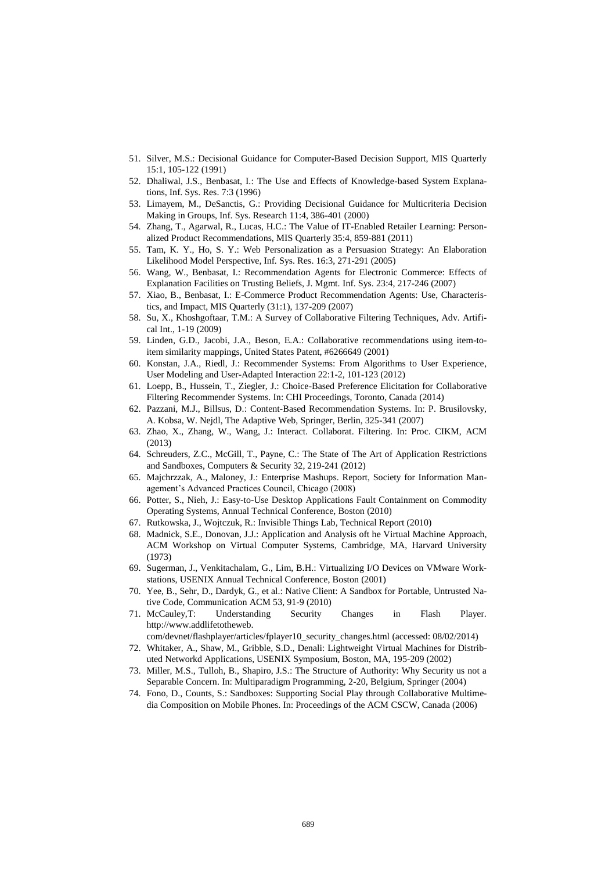- 51. Silver, M.S.: Decisional Guidance for Computer-Based Decision Support, MIS Quarterly 15:1, 105-122 (1991)
- 52. Dhaliwal, J.S., Benbasat, I.: The Use and Effects of Knowledge-based System Explanations, Inf. Sys. Res. 7:3 (1996)
- 53. Limayem, M., DeSanctis, G.: Providing Decisional Guidance for Multicriteria Decision Making in Groups, Inf. Sys. Research 11:4, 386-401 (2000)
- 54. Zhang, T., Agarwal, R., Lucas, H.C.: The Value of IT-Enabled Retailer Learning: Personalized Product Recommendations, MIS Quarterly 35:4, 859-881 (2011)
- 55. Tam, K. Y., Ho, S. Y.: Web Personalization as a Persuasion Strategy: An Elaboration Likelihood Model Perspective, Inf. Sys. Res. 16:3, 271-291 (2005)
- 56. Wang, W., Benbasat, I.: Recommendation Agents for Electronic Commerce: Effects of Explanation Facilities on Trusting Beliefs, J. Mgmt. Inf. Sys. 23:4, 217-246 (2007)
- 57. Xiao, B., Benbasat, I.: E-Commerce Product Recommendation Agents: Use, Characteristics, and Impact, MIS Quarterly (31:1), 137-209 (2007)
- 58. Su, X., Khoshgoftaar, T.M.: A Survey of Collaborative Filtering Techniques, Adv. Artifical Int., 1-19 (2009)
- 59. Linden, G.D., Jacobi, J.A., Beson, E.A.: Collaborative recommendations using item-toitem similarity mappings, United States Patent, #6266649 (2001)
- 60. Konstan, J.A., Riedl, J.: Recommender Systems: From Algorithms to User Experience, User Modeling and User-Adapted Interaction 22:1-2, 101-123 (2012)
- 61. Loepp, B., Hussein, T., Ziegler, J.: Choice-Based Preference Elicitation for Collaborative Filtering Recommender Systems. In: CHI Proceedings, Toronto, Canada (2014)
- 62. Pazzani, M.J., Billsus, D.: Content-Based Recommendation Systems. In: P. Brusilovsky, A. Kobsa, W. Nejdl, The Adaptive Web, Springer, Berlin, 325-341 (2007)
- 63. Zhao, X., Zhang, W., Wang, J.: Interact. Collaborat. Filtering. In: Proc. CIKM, ACM (2013)
- 64. Schreuders, Z.C., McGill, T., Payne, C.: The State of The Art of Application Restrictions and Sandboxes, Computers & Security 32, 219-241 (2012)
- 65. Majchrzzak, A., Maloney, J.: Enterprise Mashups. Report, Society for Information Management's Advanced Practices Council, Chicago (2008)
- 66. Potter, S., Nieh, J.: Easy-to-Use Desktop Applications Fault Containment on Commodity Operating Systems, Annual Technical Conference, Boston (2010)
- 67. Rutkowska, J., Wojtczuk, R.: Invisible Things Lab, Technical Report (2010)
- 68. Madnick, S.E., Donovan, J.J.: Application and Analysis oft he Virtual Machine Approach, ACM Workshop on Virtual Computer Systems, Cambridge, MA, Harvard University (1973)
- 69. Sugerman, J., Venkitachalam, G., Lim, B.H.: Virtualizing I/O Devices on VMware Workstations, USENIX Annual Technical Conference, Boston (2001)
- 70. Yee, B., Sehr, D., Dardyk, G., et al.: Native Client: A Sandbox for Portable, Untrusted Native Code, Communication ACM 53, 91-9 (2010)
- 71. McCauley,T: Understanding Security Changes in Flash Player. http://www.addlifetotheweb.
- com/devnet/flashplayer/articles/fplayer10\_security\_changes.html (accessed: 08/02/2014) 72. Whitaker, A., Shaw, M., Gribble, S.D., Denali: Lightweight Virtual Machines for Distrib-
- uted Networkd Applications, USENIX Symposium, Boston, MA, 195-209 (2002)
- 73. Miller, M.S., Tulloh, B., Shapiro, J.S.: The Structure of Authority: Why Security us not a Separable Concern. In: Multiparadigm Programming, 2-20, Belgium, Springer (2004)
- 74. Fono, D., Counts, S.: Sandboxes: Supporting Social Play through Collaborative Multimedia Composition on Mobile Phones. In: Proceedings of the ACM CSCW, Canada (2006)